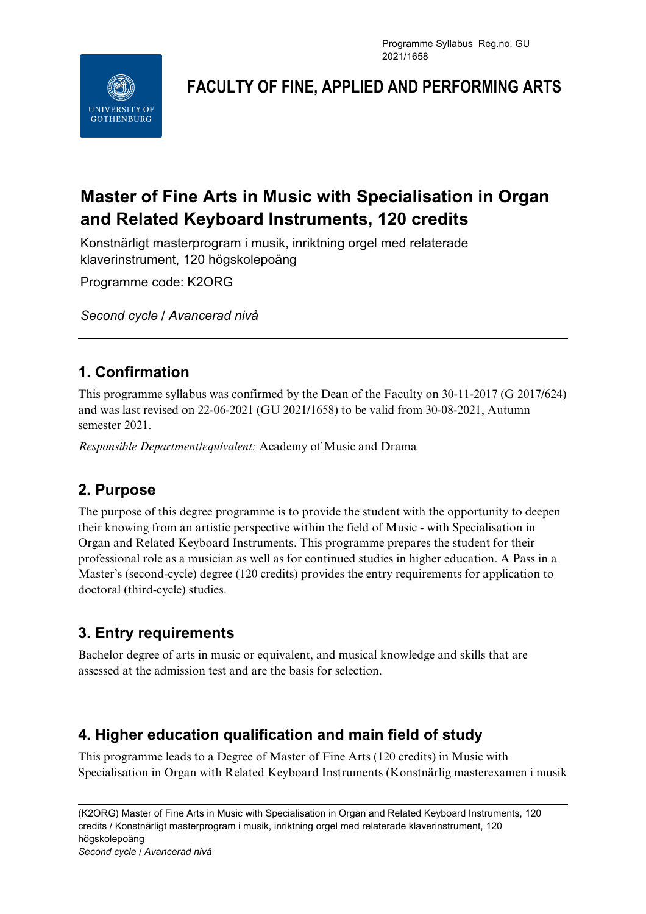Programme Syllabus Reg.no. GU 2021/1658



**FACULTY OF FINE, APPLIED AND PERFORMING ARTS**

# **Master of Fine Arts in Music with Specialisation in Organ and Related Keyboard Instruments, 120 credits**

Konstnärligt masterprogram i musik, inriktning orgel med relaterade klaverinstrument, 120 högskolepoäng

Programme code: K2ORG

*Second cycle / Avancerad nivå*

## **1. Confirmation**

This programme syllabus was confirmed by the Dean of the Faculty on 30-11-2017 (G 2017/624) and was last revised on 22-06-2021 (GU 2021/1658) to be valid from 30-08-2021, Autumn semester 2021.

*Responsible Department/equivalent:* Academy of Music and Drama

### **2. Purpose**

The purpose of this degree programme is to provide the student with the opportunity to deepen their knowing from an artistic perspective within the field of Music - with Specialisation in Organ and Related Keyboard Instruments. This programme prepares the student for their professional role as a musician as well as for continued studies in higher education. A Pass in a Master's (second-cycle) degree (120 credits) provides the entry requirements for application to doctoral (third-cycle) studies.

## **3. Entry requirements**

Bachelor degree of arts in music or equivalent, and musical knowledge and skills that are assessed at the admission test and are the basis for selection.

## **4. Higher education qualification and main field of study**

This programme leads to a Degree of Master of Fine Arts (120 credits) in Music with Specialisation in Organ with Related Keyboard Instruments (Konstnärlig masterexamen i musik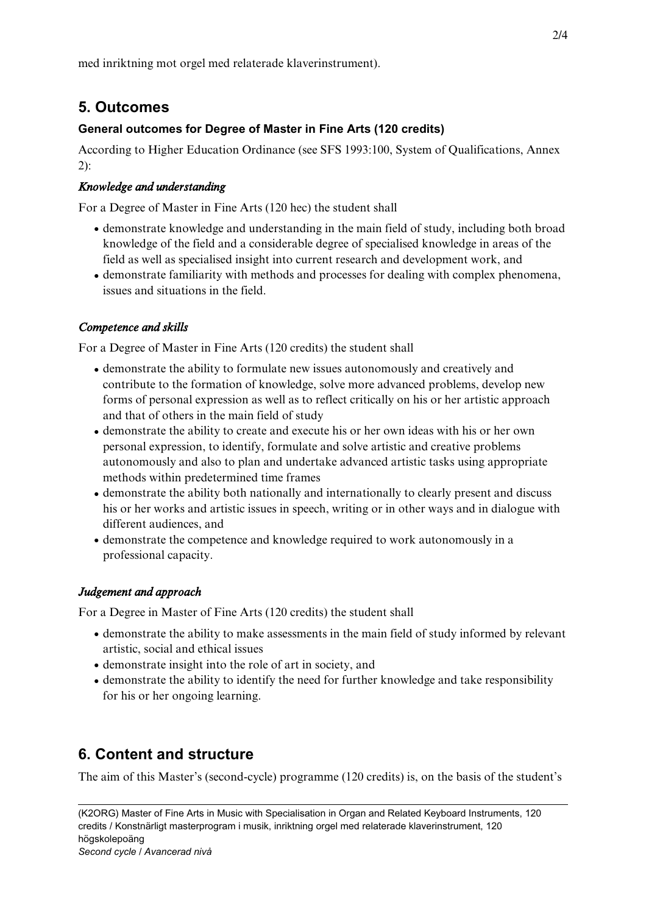med inriktning mot orgel med relaterade klaverinstrument).

### **5. Outcomes**

#### **General outcomes for Degree of Master in Fine Arts (120 credits)**

According to Higher Education Ordinance (see SFS 1993:100, System of Qualifications, Annex 2):

#### *Knowledge and understanding*

For a Degree of Master in Fine Arts (120 hec) the student shall

- demonstrate knowledge and understanding in the main field of study, including both broad knowledge of the field and a considerable degree of specialised knowledge in areas of the field as well as specialised insight into current research and development work, and
- demonstrate familiarity with methods and processes for dealing with complex phenomena, issues and situations in the field.

#### *Competence and skills*

For a Degree of Master in Fine Arts (120 credits) the student shall

- demonstrate the ability to formulate new issues autonomously and creatively and contribute to the formation of knowledge, solve more advanced problems, develop new forms of personal expression as well as to reflect critically on his or her artistic approach and that of others in the main field of study
- demonstrate the ability to create and execute his or her own ideas with his or her own personal expression, to identify, formulate and solve artistic and creative problems autonomously and also to plan and undertake advanced artistic tasks using appropriate methods within predetermined time frames
- demonstrate the ability both nationally and internationally to clearly present and discuss his or her works and artistic issues in speech, writing or in other ways and in dialogue with different audiences, and
- demonstrate the competence and knowledge required to work autonomously in a professional capacity.

#### *Judgement and approach*

For a Degree in Master of Fine Arts (120 credits) the student shall

- demonstrate the ability to make assessments in the main field of study informed by relevant artistic, social and ethical issues
- demonstrate insight into the role of art in society, and
- demonstrate the ability to identify the need for further knowledge and take responsibility for his or her ongoing learning.

### **6. Content and structure**

The aim of this Master's (second-cycle) programme (120 credits) is, on the basis of the student's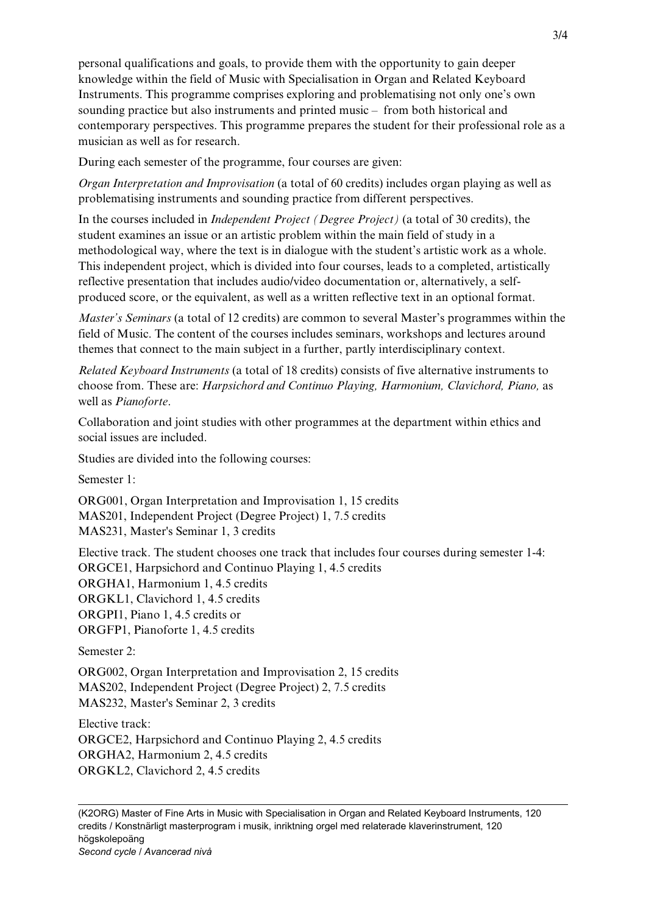personal qualifications and goals, to provide them with the opportunity to gain deeper knowledge within the field of Music with Specialisation in Organ and Related Keyboard Instruments. This programme comprises exploring and problematising not only one's own sounding practice but also instruments and printed music – from both historical and contemporary perspectives. This programme prepares the student for their professional role as a musician as well as for research.

During each semester of the programme, four courses are given:

*Organ Interpretation and Improvisation* (a total of 60 credits) includes organ playing as well as problematising instruments and sounding practice from different perspectives.

In the courses included in *Independent Project (Degree Project)* (a total of 30 credits), the student examines an issue or an artistic problem within the main field of study in a methodological way, where the text is in dialogue with the student's artistic work as a whole. This independent project, which is divided into four courses, leads to a completed, artistically reflective presentation that includes audio/video documentation or, alternatively, a selfproduced score, or the equivalent, as well as a written reflective text in an optional format.

*Master's Seminars* (a total of 12 credits) are common to several Master's programmes within the field of Music. The content of the courses includes seminars, workshops and lectures around themes that connect to the main subject in a further, partly interdisciplinary context.

*Related Keyboard Instruments* (a total of 18 credits) consists of five alternative instruments to choose from. These are: *Harpsichord and Continuo Playing, Harmonium, Clavichord, Piano,* as well as *Pianoforte*.

Collaboration and joint studies with other programmes at the department within ethics and social issues are included.

Studies are divided into the following courses:

Semester 1:

ORG001, Organ Interpretation and Improvisation 1, 15 credits MAS201, Independent Project (Degree Project) 1, 7.5 credits MAS231, Master's Seminar 1, 3 credits

Elective track. The student chooses one track that includes four courses during semester 1-4: ORGCE1, Harpsichord and Continuo Playing 1, 4.5 credits ORGHA1, Harmonium 1, 4.5 credits ORGKL1, Clavichord 1, 4.5 credits ORGPI1, Piano 1, 4.5 credits or ORGFP1, Pianoforte 1, 4.5 credits

Semester 2:

ORG002, Organ Interpretation and Improvisation 2, 15 credits MAS202, Independent Project (Degree Project) 2, 7.5 credits MAS232, Master's Seminar 2, 3 credits

Elective track:

ORGCE2, Harpsichord and Continuo Playing 2, 4.5 credits ORGHA2, Harmonium 2, 4.5 credits ORGKL2, Clavichord 2, 4.5 credits